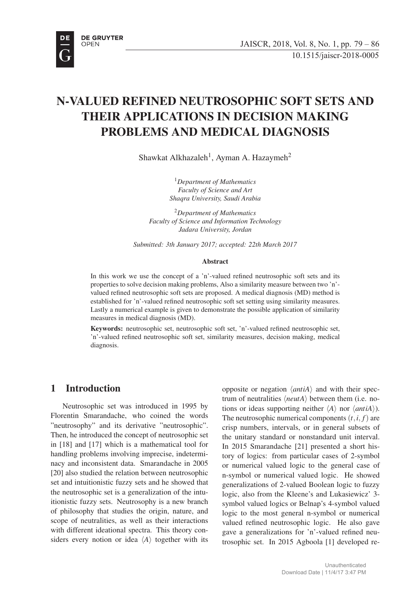

# N-VALUED REFINED NEUTROSOPHIC SOFT SETS AND THEIR APPLICATIONS IN DECISION MAKING PROBLEMS AND MEDICAL DIAGNOSIS

Shawkat Alkhazaleh<sup>1</sup>, Ayman A. Hazaymeh<sup>2</sup>

<sup>1</sup>*Department of Mathematics Faculty of Science and Art Shaqra University, Saudi Arabia*

<sup>2</sup>*Department of Mathematics Faculty of Science and Information Technology Jadara University, Jordan*

*Submitted: 3th January 2017; accepted: 22th March 2017*

#### Abstract

In this work we use the concept of a 'n'-valued refined neutrosophic soft sets and its properties to solve decision making problems, Also a similarity measure between two 'n' valued refined neutrosophic soft sets are proposed. A medical diagnosis (MD) method is established for 'n'-valued refined neutrosophic soft set setting using similarity measures. Lastly a numerical example is given to demonstrate the possible application of similarity measures in medical diagnosis (MD).

Keywords: neutrosophic set, neutrosophic soft set, 'n'-valued refined neutrosophic set, 'n'-valued refined neutrosophic soft set, similarity measures, decision making, medical diagnosis.

## 1 Introduction

Neutrosophic set was introduced in 1995 by Florentin Smarandache, who coined the words "neutrosophy" and its derivative "neutrosophic". Then, he introduced the concept of neutrosophic set in [18] and [17] which is a mathematical tool for handling problems involving imprecise, indeterminacy and inconsistent data. Smarandache in 2005 [20] also studied the relation between neutrosophic set and intuitionistic fuzzy sets and he showed that the neutrosophic set is a generalization of the intuitionistic fuzzy sets. Neutrosophy is a new branch of philosophy that studies the origin, nature, and scope of neutralities, as well as their interactions with different ideational spectra. This theory considers every notion or idea *⟨A⟩* together with its

opposite or negation *⟨antiA⟩* and with their spectrum of neutralities *⟨neutA⟩* between them (i.e. notions or ideas supporting neither *⟨A⟩* nor *⟨antiA⟩*). The neutrosophic numerical components  $(t, i, f)$  are crisp numbers, intervals, or in general subsets of the unitary standard or nonstandard unit interval. In 2015 Smarandache [21] presented a short history of logics: from particular cases of 2-symbol or numerical valued logic to the general case of n-symbol or numerical valued logic. He showed generalizations of 2-valued Boolean logic to fuzzy logic, also from the Kleene's and Lukasiewicz' 3 symbol valued logics or Belnap's 4-symbol valued logic to the most general n-symbol or numerical valued refined neutrosophic logic. He also gave gave a generalizations for 'n'-valued refined neutrosophic set. In 2015 Agboola [1] developed re-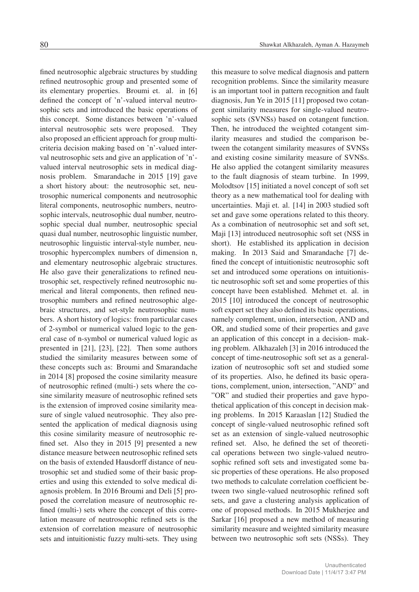fined neutrosophic algebraic structures by studding refined neutrosophic group and presented some of its elementary properties. Broumi et. al. in [6] defined the concept of 'n'-valued interval neutrosophic sets and introduced the basic operations of this concept. Some distances between 'n'-valued interval neutrosophic sets were proposed. They also proposed an efficient approach for group multicriteria decision making based on 'n'-valued interval neutrosophic sets and give an application of 'n' valued interval neutrosophic sets in medical diagnosis problem. Smarandache in 2015 [19] gave a short history about: the neutrosophic set, neutrosophic numerical components and neutrosophic literal components, neutrosophic numbers, neutrosophic intervals, neutrosophic dual number, neutrosophic special dual number, neutrosophic special quasi dual number, neutrosophic linguistic number, neutrosophic linguistic interval-style number, neutrosophic hypercomplex numbers of dimension n, and elementary neutrosophic algebraic structures. He also gave their generalizations to refined neutrosophic set, respectively refined neutrosophic numerical and literal components, then refined neutrosophic numbers and refined neutrosophic algebraic structures, and set-style neutrosophic numbers. A short history of logics: from particular cases of 2-symbol or numerical valued logic to the general case of n-symbol or numerical valued logic as presented in [21], [23], [22]. Then some authors studied the similarity measures between some of these concepts such as: Broumi and Smarandache in 2014 [8] proposed the cosine similarity measure of neutrosophic refined (multi-) sets where the cosine similarity measure of neutrosophic refined sets is the extension of improved cosine similarity measure of single valued neutrosophic. They also presented the application of medical diagnosis using this cosine similarity measure of neutrosophic refined set. Also they in 2015 [9] presented a new distance measure between neutrosophic refined sets on the basis of extended Hausdorff distance of neutrosophic set and studied some of their basic properties and using this extended to solve medical diagnosis problem. In 2016 Broumi and Deli [5] proposed the correlation measure of neutrosophic refined (multi-) sets where the concept of this correlation measure of neutrosophic refined sets is the extension of correlation measure of neutrosophic sets and intuitionistic fuzzy multi-sets. They using

this measure to solve medical diagnosis and pattern recognition problems. Since the similarity measure is an important tool in pattern recognition and fault diagnosis, Jun Ye in 2015 [11] proposed two cotangent similarity measures for single-valued neutrosophic sets (SVNSs) based on cotangent function. Then, he introduced the weighted cotangent similarity measures and studied the comparison between the cotangent similarity measures of SVNSs and existing cosine similarity measure of SVNSs. He also applied the cotangent similarity measures to the fault diagnosis of steam turbine. In 1999, Molodtsov [15] initiated a novel concept of soft set theory as a new mathematical tool for dealing with uncertainties. Maji et. al. [14] in 2003 studied soft set and gave some operations related to this theory. As a combination of neutrosophic set and soft set, Maji [13] introduced neutrosophic soft set (NSS in short). He established its application in decision making. In 2013 Said and Smarandache [7] defined the concept of intuitionistic neutrosophic soft set and introduced some operations on intuitionistic neutrosophic soft set and some properties of this concept have been established. Mehmet et. al. in 2015 [10] introduced the concept of neutrosophic soft expert set they also defined its basic operations, namely complement, union, intersection, AND and OR, and studied some of their properties and gave an application of this concept in a decision- making problem. Alkhazaleh [3] in 2016 introduced the concept of time-neutrosophic soft set as a generalization of neutrosophic soft set and studied some of its properties. Also, he defined its basic operations, complement, union, intersection, "AND" and "OR" and studied their properties and gave hypothetical application of this concept in decision making problems. In 2015 Karaaslan [12] Studied the concept of single-valued neutrosophic refined soft set as an extension of single-valued neutrosophic refined set. Also, he defined the set of theoretical operations between two single-valued neutrosophic refined soft sets and investigated some basic properties of these operations. He also proposed two methods to calculate correlation coefficient between two single-valued neutrosophic refined soft sets, and gave a clustering analysis application of one of proposed methods. In 2015 Mukherjee and Sarkar [16] proposed a new method of measuring similarity measure and weighted similarity measure between two neutrosophic soft sets (NSSs). They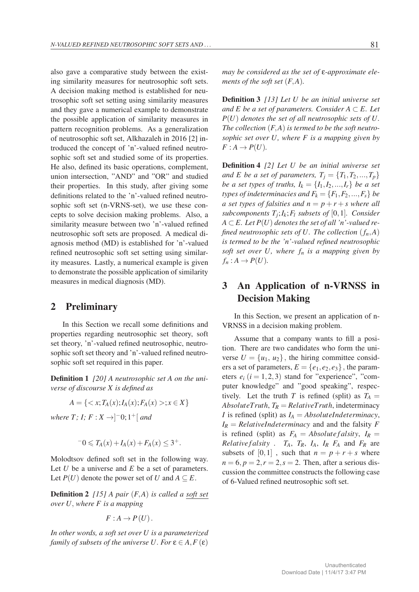also gave a comparative study between the existing similarity measures for neutrosophic soft sets. A decision making method is established for neutrosophic soft set setting using similarity measures and they gave a numerical example to demonstrate the possible application of similarity measures in pattern recognition problems. As a generalization of neutrosophic soft set, Alkhazaleh in 2016 [2] introduced the concept of 'n'-valued refined neutrosophic soft set and studied some of its properties. He also, defined its basic operations, complement, union intersection, "AND" and "OR" and studied their properties. In this study, after giving some definitions related to the 'n'-valued refined neutrosophic soft set (n-VRNS-set), we use these concepts to solve decision making problems. Also, a similarity measure between two 'n'-valued refined neutrosophic soft sets are proposed. A medical diagnosis method (MD) is established for 'n'-valued refined neutrosophic soft set setting using similarity measures. Lastly, a numerical example is given to demonstrate the possible application of similarity measures in medical diagnosis (MD).

#### 2 Preliminary

In this Section we recall some definitions and properties regarding neutrosophic set theory, soft set theory, 'n'-valued refined neutrosophic, neutrosophic soft set theory and 'n'-valued refined neutrosophic soft set required in this paper.

Definition 1 *[20] A neutrosophic set A on the universe of discourse X is defined as*

$$
A = \{ \langle x; T_A(x); I_A(x); F_A(x) \rangle; x \in X \}
$$

*where T; I; F* : *X →*] *<sup>−</sup>*0; 1+[ *and*

$$
-0 \leq T_A(x) + I_A(x) + F_A(x) \leq 3^+.
$$

Molodtsov defined soft set in the following way. Let *U* be a universe and *E* be a set of parameters. Let  $P(U)$  denote the power set of *U* and  $A \subseteq E$ .

**Definition 2** [15] A pair  $(F, A)$  is called a soft set *over U, where F is a mapping*

$$
F: A \to P(U).
$$

*In other words, a soft set over U is a parameterized family of subsets of the universe U. For*  $\varepsilon \in A$ ,  $F(\varepsilon)$ 

Definition 3 *[13] Let U be an initial universe set and*  $E$  *be a set of parameters. Consider*  $A ⊂ E$ *. Let P*(*U*) *denotes the set of all neutrosophic sets of U. The collection* (*F,A*) *is termed to be the soft neutrosophic set over U, where F is a mapping given by*  $F: A \rightarrow P(U)$ .

*ments of the soft set* (*F,A*)*.*

Definition 4 *[2] Let U be an initial universe set and E be a set of parameters,*  $T_i = \{T_1, T_2, ..., T_p\}$ *be a set types of truths,*  $I_k = \{I_1, I_2, ..., I_r\}$  *be a set types of indeterminacies and*  $F_k = \{F_1, F_2, ..., F_s\}$  *be a set types of falsities and*  $n = p + r + s$  *where all subcomponents*  $T_i$ ;  $I_k$ ;  $F_l$  *subsets of* [0,1]*. Consider*  $A \subset E$ . Let  $P(U)$  denotes the set of all 'n'-valued re*fined neutrosophic sets of U. The collection*  $(f_n, A)$ *is termed to be the 'n'-valued refined neutrosophic soft set over*  $U$ *, where*  $f_n$  *is a mapping given by*  $f_n: A \to P(U)$ .

# 3 An Application of n-VRNSS in Decision Making

In this Section, we present an application of n-VRNSS in a decision making problem.

Assume that a company wants to fill a position. There are two candidates who form the universe  $U = \{u_1, u_2\}$ , the hiring committee considers a set of parameters,  $E = \{e_1, e_2, e_3\}$ , the parameters  $e_i$  ( $i = 1, 2, 3$ ) stand for "experience", "computer knowledge" and "good speaking", respectively. Let the truth *T* is refined (split) as  $T_A =$  $AbsoluteTruth, T_R = RelativeTruth,$  indeterminacy *I* is refined (split) as  $I_A = AbsoluteIndex,$  $I_R$  = *RelativeIndeterminacy* and and the falsity *F* is refined (split) as  $F_A = Absolute falsity$ ,  $I_R =$ *Relative f alsity* .  $T_A$ ,  $T_R$ ,  $I_A$ ,  $I_R$   $F_A$  and  $F_R$  are subsets of  $[0,1]$ , such that  $n = p + r + s$  where  $n = 6, p = 2, r = 2, s = 2$ . Then, after a serious discussion the committee constructs the following case of 6-Valued refined neutrosophic soft set.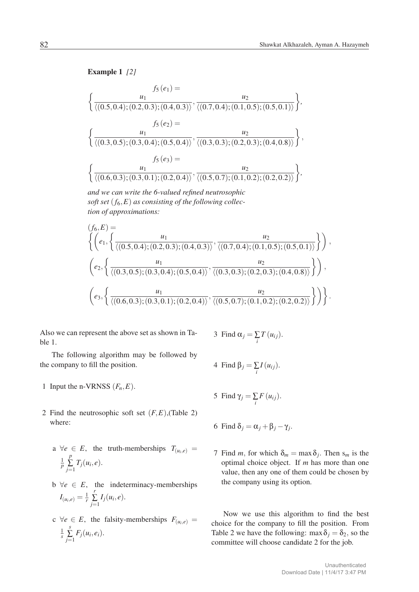Example 1 *[2]*

$$
f_5(e_1) = \frac{u_2}{\langle (0.5, 0.4); (0.2, 0.3); (0.4, 0.3) \rangle}, \frac{u_2}{\langle (0.7, 0.4); (0.1, 0.5); (0.5, 0.1) \rangle} \rangle,
$$
  

$$
f_5(e_2) = \frac{u_1}{\langle (0.3, 0.5); (0.3, 0.4); (0.5, 0.4) \rangle}, \frac{u_2}{\langle (0.3, 0.3); (0.2, 0.3); (0.4, 0.8) \rangle} \rangle,
$$
  

$$
f_5(e_3) = \frac{u_1}{\langle (0.6, 0.3); (0.3, 0.1); (0.2, 0.4) \rangle}, \frac{u_2}{\langle (0.5, 0.7); (0.1, 0.2); (0.2, 0.2) \rangle} \rangle,
$$

and we can write the 6-valued refined neutrosophic *and we can write the 6-valued refined neutrosophic* soft set (*f*6*,E*) as consisting of the following collec-*soft set* (*f*6*,E*) *as consisting of the following collec*tion of approximations: *tion of approximations:*

$$
(f_6, E) = \left\{ \left( e_1, \left\{ \frac{u_1}{\langle (0.5, 0.4); (0.2, 0.3); (0.4, 0.3) \rangle}, \frac{u_2}{\langle (0.7, 0.4); (0.1, 0.5); (0.5, 0.1) \rangle} \right\} \right), \\ \left( e_2, \left\{ \frac{u_1}{\langle (0.3, 0.5); (0.3, 0.4); (0.5, 0.4) \rangle}, \frac{u_2}{\langle (0.3, 0.3); (0.2, 0.3); (0.4, 0.8) \rangle} \right\} \right), \\ \left( e_3, \left\{ \frac{u_1}{\langle (0.6, 0.3); (0.3, 0.1); (0.2, 0.4) \rangle}, \frac{u_2}{\langle (0.5, 0.7); (0.1, 0.2); (0.2, 0.2) \rangle} \right\} \right) \right\}.
$$

Also we can represent the above set as shown in Table 1.

The following algorithm may be followed by the company to fill the position.

- 1 Input the n-VRNSS  $(F_n, E)$ .
- 2 Find the neutrosophic soft set  $(F, E)$ , (Table 2) where:
	- a  $\forall e \in E$ , the truth-memberships  $T_{(u_i,e)} =$ 1 *p p*  $\sum_{j=1}$   $T_j(u_i, e)$ .
	- $b \ \forall e \in E$ , the indeterminacy-memberships  $I_{(u_i,e)} = \frac{1}{r}$ *r*  $\sum_{j=1}$   $I_j(u_i, e)$ .
	- $c \ \forall e \in E$ , the falsity-memberships  $F_{(u_i,e)} =$ 1 *s s*  $\sum_{j=1} F_j(u_i, e_i).$

3 Find 
$$
\alpha_j = \sum_i T(u_{ij}).
$$

4 Find 
$$
\beta_j = \sum_i I(u_{ij}).
$$

5 Find  $\gamma_j = \sum_i F(u_{ij}).$ 

6 Find 
$$
\delta_j = \alpha_j + \beta_j - \gamma_j
$$
.

7 Find *m*, for which  $\delta_m = \max \delta_j$ . Then  $s_m$  is the optimal choice object. If *m* has more than one value, then any one of them could be chosen by the company using its option.

Now we use this algorithm to find the best choice for the company to fill the position. From Table 2 we have the following: max  $\delta_j = \delta_2$ , so the committee will choose candidate 2 for the job.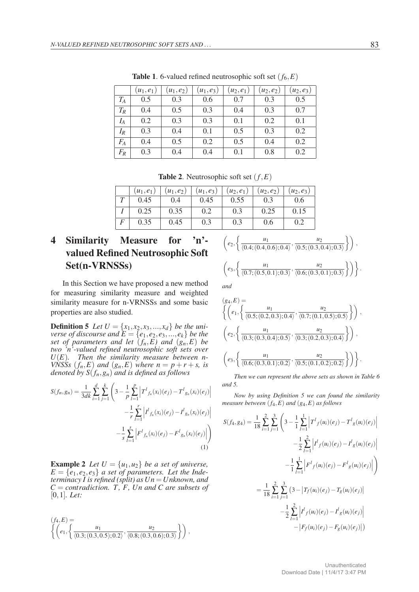|       | $(u_1, e_1)$ | $(u_1, e_2)$ | $(u_1, e_3)$ | $(u_2, e_1)$ | $(u_2, e_2)$ | $(u_2, e_3)$ |
|-------|--------------|--------------|--------------|--------------|--------------|--------------|
|       |              |              |              |              |              |              |
| $T_A$ | 0.5          | 0.3          | 0.6          | 0.7          | 0.3          | 0.5          |
| $T_R$ | 0.4          | 0.5          | 0.3          | 0.4          | 0.3          | 0.7          |
| $I_A$ | 0.2          | 0.3          | 0.3          | 0.1          | 0.2          | 0.1          |
| $I_R$ | 0.3          | 0.4          | 0.1          | 0.5          | 0.3          | 0.2          |
| $F_A$ | 0.4          | 0.5          | 0.2          | 0.5          | 0.4          | 0.2          |
| $F_R$ | 0.3          | 0.4          | 0.4          | 0.1          | 0.8          | 0.2          |

**Table 1.** 6-valued refined neutrosophic soft set  $(f_6, E)$ 

**Table 2.** Neutrosophic soft set  $(f, E)$ 

|   | $(u_1,e_1)$ | $(u_1, e_2)$ | $(u_1, e_3)$ | $(u_2, e_1)$ | $(u_2, e_2)$ | $(u_2,e_3)$ |
|---|-------------|--------------|--------------|--------------|--------------|-------------|
|   | 0.45        | 0.4          | 0.45         | 0.55         |              | 0.6         |
|   | 0.25        | 0.35         | 0.2          | 0.3          | 0.25         | 0.15        |
| F | 0.35        | 0.45         | 0.3          | 0.3          | 0.6          |             |

# 4 Similarity Measure for 'n' valued Refined Neutrosophic Soft Set(n-VRNSSs)

In this Section we have proposed a new method for measuring similarity measure and weighted similarity measure for n-VRNSSs and some basic properties are also studied.

**Definition 5** Let  $U = \{x_1, x_2, x_3, ..., x_d\}$  be the uni*verse of discourse and*  $\overline{E} = \{e_1, e_2, e_3, \ldots, e_k\}$  *be the set of parameters and let* (*fn,E) and* (*gn,E*) *be two 'n'-valued refined neutrosophic soft sets over U*(*E*)*. Then the similarity measure between n-VNSSs*  $(f_n, E)$  *and*  $(g_n, E)$  *where*  $n = p + r + s$ *, is denoted by S*(*fn,gn*) *and is defined as follows*

$$
S(f_n, g_n) = \frac{1}{3dk} \sum_{i=1}^d \sum_{j=1}^k \left( 3 - \frac{1}{p} \sum_{l=1}^p \left| T^l f_n(x_l)(e_j) - T^l g_n(x_l)(e_j) \right| - \frac{1}{r} \sum_{l=1}^r \left| I^l f_n(x_l)(e_j) - I^l g_n(x_l)(e_j) \right| - \frac{1}{s} \sum_{l=1}^s \left| F^l f_n(x_l)(e_j) - F^l g_n(x_l)(e_j) \right| \right)
$$
\n(1)

**Example 2** *Let*  $U = \{u_1, u_2\}$  *be a set of universe,*  $E = \{e_1, e_2, e_3\}$  *a set of parameters. Let the Indeterminacy I is refined (split) as Un* =*Unknown, and C* = *contradiction. T, F, Un and C are subsets of* [0*,*1]*. Let:*

$$
(f_4, E) = \left\{ \left( e_1, \left\{ \frac{u_1}{\langle 0.3; (0.3, 0.5); 0.2 \rangle}, \frac{u_2}{\langle 0.8; (0.3, 0.6); 0.3 \rangle} \right\} \right) ,\right\}
$$

$$
\left(e_2, \left\{\frac{u_1}{\langle 0.4; (0.4, 0.6); 0.4 \rangle}, \frac{u_2}{\langle 0.5; (0.3, 0.4); 0.3 \rangle}\right\}\right),\newline
$$

$$
\left(e_3, \left\{\frac{u_1}{\langle 0.7; (0.5, 0.1); 0.3 \rangle}, \frac{u_2}{\langle 0.6; (0.3, 0.1); 0.3 \rangle}\right\}\right)\right\}.
$$

*and*

$$
(g_4, E) = \left\{ \left( e_1, \left\{ \frac{u_1}{\langle 0.5; (0.2, 0.3); 0.4 \rangle}, \frac{u_2}{\langle 0.7; (0.1, 0.5); 0.5 \rangle} \right\} \right), \newline \left( e_2, \left\{ \frac{u_1}{\langle 0.3; (0.3, 0.4); 0.5 \rangle}, \frac{u_2}{\langle 0.3; (0.2, 0.3); 0.4 \rangle} \right\} \right), \newline \left( e_3, \left\{ \frac{u_1}{\langle 0.6; (0.3, 0.1); 0.2 \rangle}, \frac{u_2}{\langle 0.5; (0.1, 0.2); 0.2 \rangle} \right\} \right) \right\}.
$$

*Then we can represent the above sets as shown in Table 6 and 5.*

*Now by using Definition 5 we can found the similarity measure between* (*f*4*,E*) *and* (*g*4*,E*) *as follows*

$$
S(f_4, g_4) = \frac{1}{18} \sum_{i=1}^{2} \sum_{j=1}^{3} \left( 3 - \frac{1}{1} \sum_{l=1}^{1} \left| T^l f(u_i)(e_j) - T^l g(u_i)(e_j) \right| - \frac{1}{2} \sum_{l=1}^{2} \left| I^l f(u_i)(e_j) - I^l g(u_i)(e_j) \right| - \frac{1}{1} \sum_{l=1}^{1} \left| F^l f(u_i)(e_j) - F^l g(u_i)(e_j) \right| \right)
$$
  

$$
= \frac{1}{18} \sum_{i=1}^{2} \sum_{j=1}^{3} \left( 3 - \left| T_f(u_i)(e_j) - T_g(u_i)(e_j) \right| - \frac{1}{2} \sum_{l=1}^{2} \left| I^l f(u_i)(e_j) - I^l g(u_i)(e_j) \right| - \left| F_f(u_i)(e_j) - F_g(u_i)(e_j) \right| \right)
$$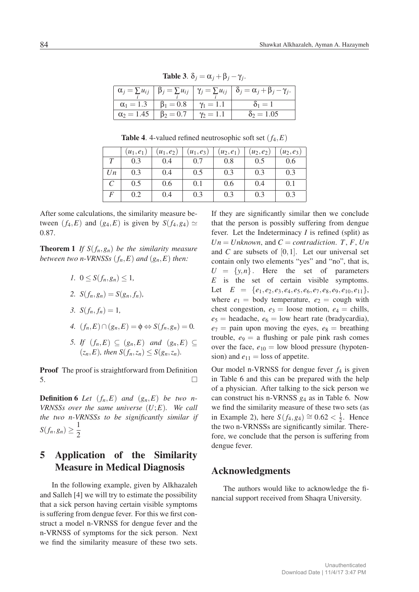|                                     |                                                   |                  | $\left  \alpha_j = \sum u_{ij} \right  \beta_j = \sum u_{ij} \left  \gamma_j = \sum u_{ij} \right  \delta_j = \alpha_j + \beta_j - \gamma_j.$ |
|-------------------------------------|---------------------------------------------------|------------------|-----------------------------------------------------------------------------------------------------------------------------------------------|
|                                     | $\alpha_1 = 1.3$ $\beta_1 = 0.8$ $\gamma_1 = 1.1$ |                  | $\delta_1=1$                                                                                                                                  |
| $\alpha_2 = 1.45$   $\beta_2 = 0.7$ |                                                   | $\gamma_2 = 1.1$ | $\delta_2 = 1.05$                                                                                                                             |

Table 3.  $\delta_i = \alpha_i + \beta_i - \gamma_i$ .

**Table 4.** 4-valued refined neutrosophic soft set  $(f_4, E)$ 

|               | $(u_1, e_1)$ | $(u_1, e_2)$ | $(u_1, e_3)$ | $(u_2, e_1)$ | $(u_2,e_2)$ | $(u_2,e_3)$ |
|---------------|--------------|--------------|--------------|--------------|-------------|-------------|
|               | 0.3          | 0.4          | 0.7          | 0.8          | 0.5         | 0.6         |
| Un            | 0.3          | 0.4          | 0.5          | 0.3          | 0.3         | 0.3         |
| $\mathcal{C}$ | 0.5          | 0.6          | 0.1          | 0.6          | 0.4         | 0.1         |
| F             | 0.2          | 0.4          | 0.3          | 0.3          | 0.3         | 0.3         |

After some calculations, the similarity measure between  $(f_4, E)$  and  $(g_4, E)$  is given by  $S(f_4, g_4) \simeq$ 0*.*87.

**Theorem 1** If  $S(f_n, g_n)$  be the similarity measure *between two n-VRNSSs*  $(f_n, E)$  *and*  $(g_n, E)$  *then:* 

- *1.*  $0 \leq S(f_n, g_n) \leq 1$ ,
- 2. *S*( $f_n, g_n$ ) = *S*( $g_n, f_n$ )*,*
- *3.*  $S(f_n, f_n) = 1$ ,
- *4.*  $(f_n, E) ∩ (g_n, E) = \emptyset \Leftrightarrow S(f_n, g_n) = 0.$
- *5. If*  $(f_n, E) \subseteq (g_n, E)$  *and*  $(g_n, E) \subseteq$  $(z_n, E)$ *, then*  $S(f_n, z_n) \leq S(g_n, z_n)$ *.*

**Proof** The proof is straightforward from Definition  $\overline{\phantom{a}}$  5.

**Definition 6** *Let*  $(f_n, E)$  *and*  $(g_n, E)$  *be two n VRNSSs over the same universe* (*U*;*E*)*. We call the two n-VRNSSs to be significantly similar if S*(*f<sub>n</sub>,g<sub>n</sub>*)  $\geq \frac{1}{2}$ 2

# 5 Application of the Similarity Measure in Medical Diagnosis

In the following example, given by Alkhazaleh and Salleh [4] we will try to estimate the possibility that a sick person having certain visible symptoms is suffering from dengue fever. For this we first construct a model n-VRNSS for dengue fever and the n-VRNSS of symptoms for the sick person. Next we find the similarity measure of these two sets.

If they are significantly similar then we conclude that the person is possibly suffering from dengue fever. Let the Indeterminacy *I* is refined (split) as  $Un = Unknown$ , and  $C = contradiction$ . *T*, *F*, *Un* and *C* are subsets of [0*,*1]. Let our universal set contain only two elements "yes" and "no", that is,  $U = \{y, n\}$ . Here the set of parameters *E* is the set of certain visible symptoms. Let  $E = \{e_1, e_2, e_3, e_4, e_5, e_6, e_7, e_8, e_9, e_{10}, e_{11}\},\$ where  $e_1$  = body temperature,  $e_2$  = cough with chest congestion,  $e_3$  = loose motion,  $e_4$  = chills,  $e_5$  = headache,  $e_6$  = low heart rate (bradycardia),  $e_7$  = pain upon moving the eyes,  $e_8$  = breathing trouble,  $e_9 = a$  flushing or pale pink rash comes over the face,  $e_{10} =$  low blood pressure (hypotension) and  $e_{11}$  = loss of appetite.

Our model n-VRNSS for dengue fever  $f_4$  is given in Table 6 and this can be prepared with the help of a physician. After talking to the sick person we can construct his n-VRNSS *g*<sup>4</sup> as in Table 6. Now we find the similarity measure of these two sets (as in Example 2), here *S*( $f_4$ , $g_4$ )  $\cong$  0.62 <  $\frac{1}{2}$ . Hence the two n-VRNSSs are significantly similar. Therefore, we conclude that the person is suffering from dengue fever.

#### Acknowledgments

The authors would like to acknowledge the financial support received from Shaqra University.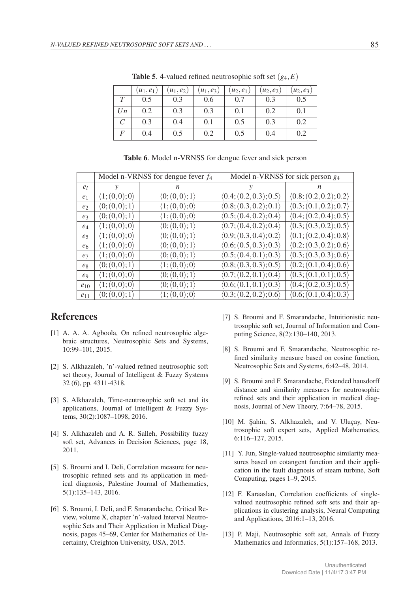|                         | $u_1, e_1$ | $(u_1, e_2)$ | $(u_1, e_3)$ | $(u_2, e_1)$ | $(u_2, e_2)$ | $(u_2,e_3)$ |
|-------------------------|------------|--------------|--------------|--------------|--------------|-------------|
|                         | 0.5        | 0.3          | 0.6          | 0.7          | 0.3          | 0.5         |
| Un                      | 0.2        | 0.3          | 0.3          | 0.1          | 0.2          | 0.1         |
| $\mathcal{C}_{0}^{(n)}$ | 0.3        | 0.4          | 0.1          | 0.5          | 0.3          | 0.2         |
| F                       | 0.4        | 0.5          | 0.2          | 0.5          | 0.4          | 0.2         |
|                         |            |              |              |              |              |             |

**Table 5.** 4-valued refined neutrosophic soft set  $(g_4, E)$ 

|                |                               | Model n-VRNSS for dengue fever $f_4$ | Model n-VRNSS for sick person $g_4$    |                        |  |  |  |  |
|----------------|-------------------------------|--------------------------------------|----------------------------------------|------------------------|--|--|--|--|
| $e_i$          | у<br>n                        |                                      | у                                      | n.                     |  |  |  |  |
| e <sub>1</sub> | $\langle 1;(0,0);0\rangle$    | $\langle 0; (0,0); 1 \rangle$        | (0.4; (0.2, 0.3); 0.5)                 | (0.8; (0.2, 0.2); 0.2) |  |  |  |  |
| e <sub>2</sub> | $\langle 0; (0,0); 1 \rangle$ | $\langle 1;(0,0);0\rangle$           | (0.8; (0.3, 0.2); 0.1)                 | (0.3; (0.1, 0.2); 0.7) |  |  |  |  |
| e <sub>3</sub> | $\langle 0; (0,0); 1 \rangle$ | $\langle 1;(0,0);0\rangle$           | (0.5; (0.4, 0.2); 0.4)                 | (0.4; (0.2, 0.4); 0.5) |  |  |  |  |
| $e_4$          | $\langle 1;(0,0);0\rangle$    | $\langle 0; (0,0); 1 \rangle$        | (0.7; (0.4, 0.2); 0.4)                 | (0.3; (0.3, 0.2); 0.5) |  |  |  |  |
| e <sub>5</sub> | $\langle 1;(0,0);0\rangle$    | $\langle 0; (0,0); 1 \rangle$        | (0.9; (0.3, 0.4); 0.2)                 | (0.1; (0.2, 0.4); 0.8) |  |  |  |  |
| e <sub>6</sub> | $\langle 1;(0,0);0\rangle$    | $\langle 0; (0,0); 1 \rangle$        | (0.6; (0.5, 0.3); 0.3)                 | (0.2; (0.3, 0.2); 0.6) |  |  |  |  |
| e <sub>7</sub> | $\langle 1;(0,0);0\rangle$    | $\langle 0; (0,0); 1 \rangle$        | $\langle 0.5; (0.4, 0.1); 0.3 \rangle$ | (0.3; (0.3, 0.3); 0.6) |  |  |  |  |
| $e_8$          | $\langle 0; (0,0); 1 \rangle$ | $\langle 1;(0,0);0\rangle$           | (0.8; (0.3, 0.3); 0.5)                 | (0.2; (0.1, 0.4); 0.6) |  |  |  |  |
| $\ell_{9}$     | $\langle 1;(0,0);0\rangle$    | $\langle 0; (0,0); 1 \rangle$        | (0.7; (0.2, 0.1); 0.4)                 | (0.3; (0.1, 0.1); 0.5) |  |  |  |  |
| $e_{10}$       | $\langle 1;(0,0);0\rangle$    | $\langle 0; (0,0); 1 \rangle$        | (0.6; (0.1, 0.1); 0.3)                 | (0.4; (0.2, 0.3); 0.5) |  |  |  |  |
| $e_{11}$       | $\langle 0; (0,0); 1 \rangle$ | $\langle 1;(0,0);0\rangle$           | (0.3; (0.2, 0.2); 0.6)                 | (0.6; (0.1, 0.4); 0.3) |  |  |  |  |

Table 6. Model n-VRNSS for dengue fever and sick person

### References

- [1] A. A. A. Agboola, On refined neutrosophic algebraic structures, Neutrosophic Sets and Systems, 10:99–101, 2015.
- [2] S. Alkhazaleh, 'n'-valued refined neutrosophic soft set theory, Journal of Intelligent & Fuzzy Systems 32 (6), pp. 4311-4318.
- [3] S. Alkhazaleh, Time-neutrosophic soft set and its applications, Journal of Intelligent & Fuzzy Systems, 30(2):1087–1098, 2016.
- [4] S. Alkhazaleh and A. R. Salleh, Possibility fuzzy soft set, Advances in Decision Sciences, page 18, 2011.
- [5] S. Broumi and I. Deli, Correlation measure for neutrosophic refined sets and its application in medical diagnosis, Palestine Journal of Mathematics, 5(1):135–143, 2016.
- [6] S. Broumi, I. Deli, and F. Smarandache, Critical Review, volume X, chapter 'n'-valued Interval Neutrosophic Sets and Their Application in Medical Diagnosis, pages 45–69, Center for Mathematics of Uncertainty, Creighton University, USA, 2015.
- [7] S. Broumi and F. Smarandache, Intuitionistic neutrosophic soft set, Journal of Information and Computing Science, 8(2):130–140, 2013.
- [8] S. Broumi and F. Smarandache, Neutrosophic refined similarity measure based on cosine function, Neutrosophic Sets and Systems, 6:42–48, 2014.
- [9] S. Broumi and F. Smarandache, Extended hausdorff distance and similarity measures for neutrosophic refined sets and their application in medical diagnosis, Journal of New Theory, 7:64–78, 2015.
- [10] M. Şahin, S. Alkhazaleh, and V. Uluçay, Neutrosophic soft expert sets, Applied Mathematics, 6:116–127, 2015.
- [11] Y. Jun, Single-valued neutrosophic similarity measures based on cotangent function and their application in the fault diagnosis of steam turbine, Soft Computing, pages 1–9, 2015.
- [12] F. Karaaslan, Correlation coefficients of singlevalued neutrosophic refined soft sets and their applications in clustering analysis, Neural Computing and Applications, 2016:1–13, 2016.
- [13] P. Maji, Neutrosophic soft set, Annals of Fuzzy Mathematics and Informatics, 5(1):157-168, 2013.